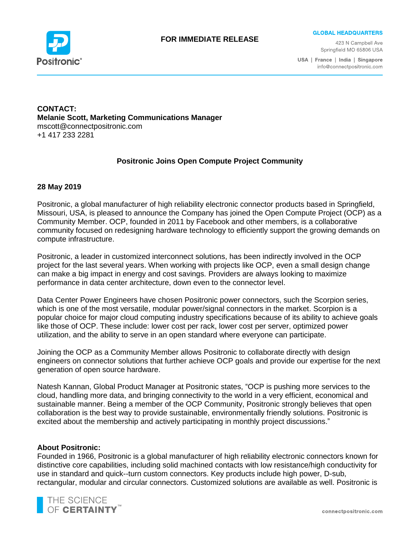

### **FOR IMMEDIATE RELEASE**

**GLOBAL HEADQUARTERS** 

423 N Campbell Ave Springfield MO 65806 USA

USA | France | India | Singapore info@connectpositronic.com

**CONTACT: Melanie Scott, Marketing Communications Manager** mscott@connectpositronic.com +1 417 233 2281

## **Positronic Joins Open Compute Project Community**

### **28 May 2019**

Positronic, a global manufacturer of high reliability electronic connector products based in Springfield, Missouri, USA, is pleased to announce the Company has joined the Open Compute Project (OCP) as a Community Member. OCP, founded in 2011 by Facebook and other members, is a collaborative community focused on redesigning hardware technology to efficiently support the growing demands on compute infrastructure.

Positronic, a leader in customized interconnect solutions, has been indirectly involved in the OCP project for the last several years. When working with projects like OCP, even a small design change can make a big impact in energy and cost savings. Providers are always looking to maximize performance in data center architecture, down even to the connector level.

Data Center Power Engineers have chosen Positronic power connectors, such the Scorpion series, which is one of the most versatile, modular power/signal connectors in the market. Scorpion is a popular choice for major cloud computing industry specifications because of its ability to achieve goals like those of OCP. These include: lower cost per rack, lower cost per server, optimized power utilization, and the ability to serve in an open standard where everyone can participate.

Joining the OCP as a Community Member allows Positronic to collaborate directly with design engineers on connector solutions that further achieve OCP goals and provide our expertise for the next generation of open source hardware.

Natesh Kannan, Global Product Manager at Positronic states, "OCP is pushing more services to the cloud, handling more data, and bringing connectivity to the world in a very efficient, economical and sustainable manner. Being a member of the OCP Community, Positronic strongly believes that open collaboration is the best way to provide sustainable, environmentally friendly solutions. Positronic is excited about the membership and actively participating in monthly project discussions."

#### **About Positronic:**

Founded in 1966, Positronic is a global manufacturer of high reliability electronic connectors known for distinctive core capabilities, including solid machined contacts with low resistance/high conductivity for use in standard and quick--turn custom connectors. Key products include high power, D-sub, rectangular, modular and circular connectors. Customized solutions are available as well. Positronic is